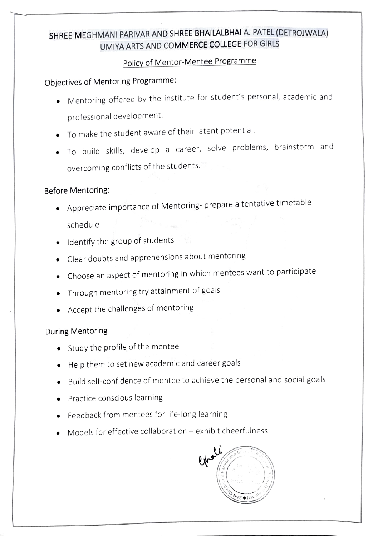# SHREE MEGHMANI PARIVAR AND SHREE BHAILALBHAI A. PATEL (DETROJWALA) UMIYA ARTS AND COMMERCE COLLEGE FOR GIRLS

## Policy of Mentor-Mentee Programme

## Objectives of Mentoring Programme:

- Mentoring offered by the institute for student's personal, academic and protessional development
- To make the student aware of their latent potential.
- To build skills, develop a career, solve problems, brainstorm and Overcoming conflicts of the students.

#### Before Mentoring:

- Appreciate importance of Mentoring- prepare a tentative timetable
	- schedule
- ldentify the group of students
- Clear doubts and apprehensions about mentoring .
- Choose an aspect ot mentoring in which mentees want to participate
- Through mentoring try attainment of goals
- Accept the challenges of mentoring

#### During Mentoring

- Study the profile of the mentee
- Help them to set new academic and career goals
- .Build self-confidence of mentee to achieve the personal and social goals
- **•** Practice conscious learning
- Feedback from mentees for life-long learning
- Models for effective collaboration exhibit cheerfulness